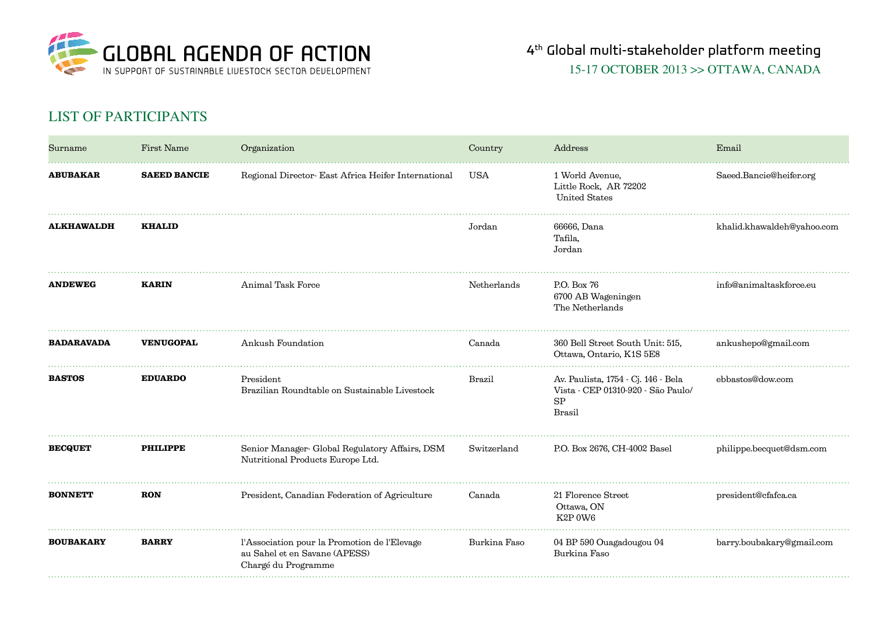

## list of participants

| Surname           | First Name          | Organization                                                                                         | Country      | Address                                                                                                 | Email                      |
|-------------------|---------------------|------------------------------------------------------------------------------------------------------|--------------|---------------------------------------------------------------------------------------------------------|----------------------------|
| <b>ABUBAKAR</b>   | <b>SAEED BANCIE</b> | Regional Director- East Africa Heifer International                                                  | USA          | 1 World Avenue,<br>Little Rock, AR 72202<br><b>United States</b>                                        | Saeed.Bancie@heifer.org    |
| <b>ALKHAWALDH</b> | <b>KHALID</b>       |                                                                                                      | Jordan       | 66666, Dana<br>Tafila,<br>Jordan                                                                        | khalid.khawaldeh@yahoo.com |
| <b>ANDEWEG</b>    | <b>KARIN</b>        | Animal Task Force                                                                                    | Netherlands  | P.O. Box 76<br>6700 AB Wageningen<br>The Netherlands                                                    | info@animaltaskforce.eu    |
| <b>BADARAVADA</b> | VENUGOPAL           | Ankush Foundation                                                                                    | Canada       | 360 Bell Street South Unit: 515,<br>Ottawa, Ontario, K1S 5E8                                            | ankushepo@gmail.com        |
| <b>BASTOS</b>     | <b>EDUARDO</b>      | President<br>Brazilian Roundtable on Sustainable Livestock                                           | Brazil       | Av. Paulista, 1754 - Cj. 146 - Bela<br>Vista - CEP 01310-920 - São Paulo/<br><b>SP</b><br><b>Brasil</b> | ebbastos@dow.com           |
| <b>BECQUET</b>    | <b>PHILIPPE</b>     | Senior Manager- Global Regulatory Affairs, DSM<br>Nutritional Products Europe Ltd.                   | Switzerland  | P.O. Box 2676, CH-4002 Basel                                                                            | philippe.becquet@dsm.com   |
| <b>BONNETT</b>    | <b>RON</b>          | President, Canadian Federation of Agriculture                                                        | Canada       | 21 Florence Street<br>Ottawa, ON<br>K2P0W6                                                              | president@cfafca.ca        |
| <b>BOUBAKARY</b>  | <b>BARRY</b>        | l'Association pour la Promotion de l'Elevage<br>au Sahel et en Savane (APESS)<br>Chargé du Programme | Burkina Faso | 04 BP 590 Ouagadougou 04<br>Burkina Faso                                                                | barry.boubakary@gmail.com  |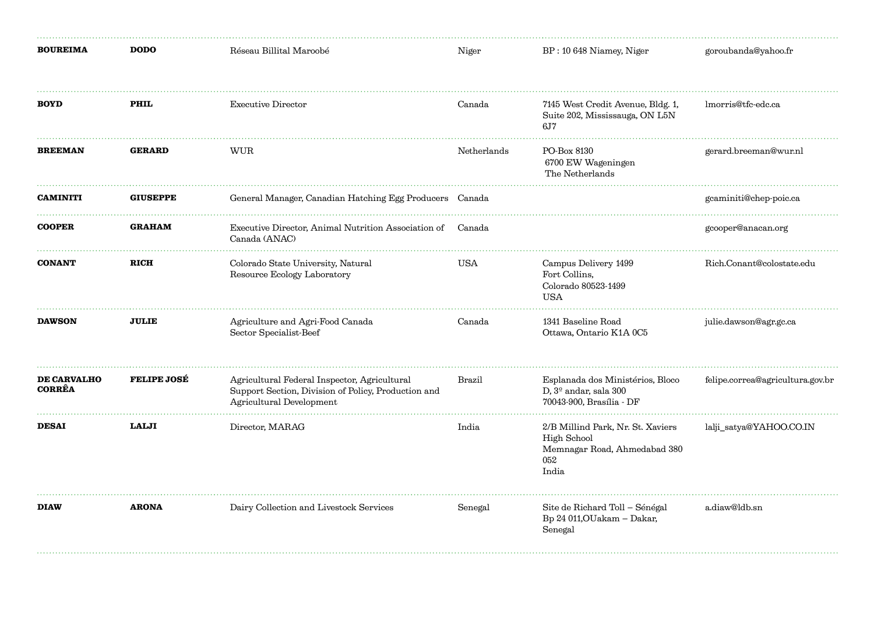| <b>BOUREIMA</b>                     | <b>DODO</b>        | Réseau Billital Maroobé                                                                                                         | Niger       | BP: 10 648 Niamey, Niger                                                                                | goroubanda@yahoo.fr              |
|-------------------------------------|--------------------|---------------------------------------------------------------------------------------------------------------------------------|-------------|---------------------------------------------------------------------------------------------------------|----------------------------------|
| <b>BOYD</b>                         | PHIL               | <b>Executive Director</b>                                                                                                       | Canada      | 7145 West Credit Avenue, Bldg. 1,<br>Suite 202, Mississauga, ON L5N<br>6.17                             | lmorris@tfc-edc.ca               |
| <b>BREEMAN</b>                      | <b>GERARD</b>      | <b>WUR</b>                                                                                                                      | Netherlands | PO-Box 8130<br>6700 EW Wageningen<br>The Netherlands                                                    | gerard.breeman@wur.nl            |
| <b>CAMINITI</b>                     | <b>GIUSEPPE</b>    | General Manager, Canadian Hatching Egg Producers                                                                                | Canada      |                                                                                                         | gcaminiti@chep-poic.ca           |
| <b>COOPER</b>                       | <b>GRAHAM</b>      | Executive Director, Animal Nutrition Association of<br>Canada (ANAC)                                                            | Canada      |                                                                                                         | gcooper@anacan.org               |
| <b>CONANT</b>                       | <b>RICH</b>        | Colorado State University, Natural<br>Resource Ecology Laboratory                                                               | <b>USA</b>  | Campus Delivery 1499<br>Fort Collins,<br>Colorado 80523-1499<br><b>USA</b>                              | Rich.Conant@colostate.edu        |
| <b>DAWSON</b>                       | <b>JULIE</b>       | Agriculture and Agri-Food Canada<br>Sector Specialist-Beef                                                                      | Canada      | 1341 Baseline Road<br>Ottawa, Ontario K1A 0C5                                                           | julie.dawson@agr.gc.ca           |
| <b>DE CARVALHO</b><br><b>CORRÊA</b> | <b>FELIPE JOSÉ</b> | Agricultural Federal Inspector, Agricultural<br>Support Section, Division of Policy, Production and<br>Agricultural Development | Brazil      | Esplanada dos Ministérios, Bloco<br>D, $3^{\circ}$ andar, sala 300<br>70043-900. Brasília - DF          | felipe.correa@agricultura.gov.br |
| <b>DESAI</b>                        | <b>LALJI</b>       | Director, MARAG                                                                                                                 | India       | 2/B Millind Park, Nr. St. Xaviers<br><b>High School</b><br>Memnagar Road, Ahmedabad 380<br>052<br>India | lalji_satya@YAHOO.CO.IN          |
| <b>DIAW</b>                         | <b>ARONA</b>       | Dairy Collection and Livestock Services                                                                                         | Senegal     | Site de Richard Toll - Sénégal<br>Bp 24 011, OUakam - Dakar,<br>Senegal                                 | a.diaw@ldb.sn                    |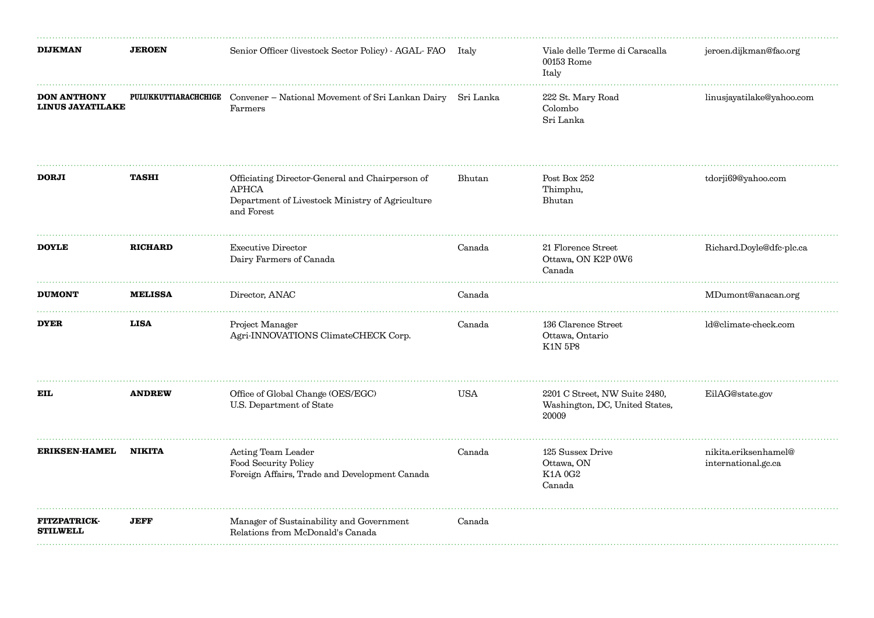| <b>DIJKMAN</b>                                | <b>JEROEN</b>               | Senior Officer (livestock Sector Policy) - AGAL-FAO Italy                                                                        |        | Viale delle Terme di Caracalla<br>00153 Rome<br>Italy                    | jeroen.dijkman@fao.org                      |
|-----------------------------------------------|-----------------------------|----------------------------------------------------------------------------------------------------------------------------------|--------|--------------------------------------------------------------------------|---------------------------------------------|
| <b>DON ANTHONY</b><br><b>LINUS JAYATILAKE</b> | <b>PULUKKUTTIARACHCHIGE</b> | Convener - National Movement of Sri Lankan Dairy Sri Lanka<br>Farmers                                                            |        | 222 St. Mary Road<br>Colombo<br>Sri Lanka                                | linusjayatilake@yahoo.com                   |
| <b>DORJI</b>                                  | <b>TASHI</b>                | Officiating Director-General and Chairperson of<br><b>APHCA</b><br>Department of Livestock Ministry of Agriculture<br>and Forest | Bhutan | Post Box 252<br>Thimphu,<br>Bhutan                                       | tdorji69@yahoo.com                          |
| <b>DOYLE</b>                                  | <b>RICHARD</b>              | <b>Executive Director</b><br>Dairy Farmers of Canada                                                                             | Canada | 21 Florence Street<br>Ottawa, ON K2P 0W6<br>Canada                       | Richard.Doyle@dfc-plc.ca                    |
| <b>DUMONT</b>                                 | <b>MELISSA</b>              | Director, ANAC                                                                                                                   | Canada |                                                                          | MDumont@anacan.org                          |
| <b>DYER</b>                                   | <b>LISA</b>                 | Project Manager<br>Agri-INNOVATIONS ClimateCHECK Corp.                                                                           | Canada | 136 Clarence Street<br>Ottawa, Ontario<br><b>K1N 5P8</b>                 | ld@climate-check.com                        |
| EIL                                           | <b>ANDREW</b>               | Office of Global Change (OES/EGC)<br>U.S. Department of State                                                                    | USA    | 2201 C Street, NW Suite 2480,<br>Washington, DC, United States,<br>20009 | EilAG@state.gov                             |
| <b>ERIKSEN-HAMEL</b>                          | <b>NIKITA</b>               | Acting Team Leader<br>Food Security Policy<br>Foreign Affairs, Trade and Development Canada                                      | Canada | 125 Sussex Drive<br>Ottawa, ON<br>K1A 0G2<br>Canada                      | nikita.eriksenhamel@<br>international.gc.ca |
| <b>FITZPATRICK-</b><br><b>STILWELL</b>        | <b>JEFF</b>                 | Manager of Sustainability and Government<br>Relations from McDonald's Canada                                                     | Canada |                                                                          |                                             |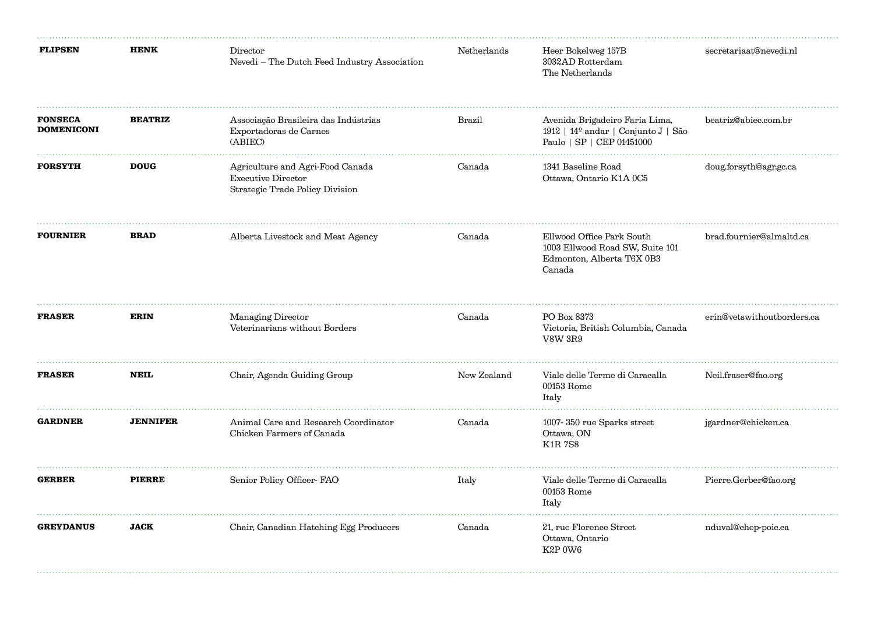| <b>FLIPSEN</b>                      | <b>HENK</b>     | Director<br>Nevedi - The Dutch Feed Industry Association                                  | Netherlands | Heer Bokelweg 157B<br>3032AD Rotterdam<br>The Netherlands                                           | secretariaat@nevedi.nl     |
|-------------------------------------|-----------------|-------------------------------------------------------------------------------------------|-------------|-----------------------------------------------------------------------------------------------------|----------------------------|
| <b>FONSECA</b><br><b>DOMENICONI</b> | <b>BEATRIZ</b>  | Associação Brasileira das Indústrias<br>Exportadoras de Carnes<br>(ABIEC)                 | Brazil      | Avenida Brigadeiro Faria Lima,<br>1912   14º andar   Conjunto J   São<br>Paulo   SP   CEP 01451000  | beatriz@abiec.com.br       |
| <b>FORSYTH</b>                      | <b>DOUG</b>     | Agriculture and Agri-Food Canada<br>Executive Director<br>Strategic Trade Policy Division | Canada      | 1341 Baseline Road<br>Ottawa, Ontario K1A 0C5                                                       | doug.forsyth@agr.gc.ca     |
| <b>FOURNIER</b>                     | <b>BRAD</b>     | Alberta Livestock and Meat Agency                                                         | Canada      | Ellwood Office Park South<br>1003 Ellwood Road SW, Suite 101<br>Edmonton, Alberta T6X 0B3<br>Canada | brad.fournier@almaltd.ca   |
| <b>FRASER</b>                       | <b>ERIN</b>     | Managing Director<br>Veterinarians without Borders                                        | Canada      | PO Box 8373<br>Victoria, British Columbia, Canada<br><b>V8W 3R9</b>                                 | erin@vetswithoutborders.ca |
| <b>FRASER</b>                       | <b>NEIL</b>     | Chair, Agenda Guiding Group                                                               | New Zealand | Viale delle Terme di Caracalla<br>$00153$ Rome<br>Italy                                             | Neil.fraser@fao.org        |
| <b>GARDNER</b>                      | <b>JENNIFER</b> | Animal Care and Research Coordinator<br>Chicken Farmers of Canada                         | Canada      | 1007-350 rue Sparks street<br>Ottawa, ON<br><b>K1R7S8</b>                                           | jgardner@chicken.ca        |
| <b>GERBER</b>                       | <b>PIERRE</b>   | Senior Policy Officer- FAO                                                                | Italy       | Viale delle Terme di Caracalla<br>$00153$ Rome<br>Italy                                             | Pierre.Gerber@fao.org      |
| <b>GREYDANUS</b>                    | <b>JACK</b>     | Chair, Canadian Hatching Egg Producers                                                    | Canada      | 21, rue Florence Street<br>Ottawa, Ontario<br>K2P 0W6                                               | nduval@chep-poic.ca        |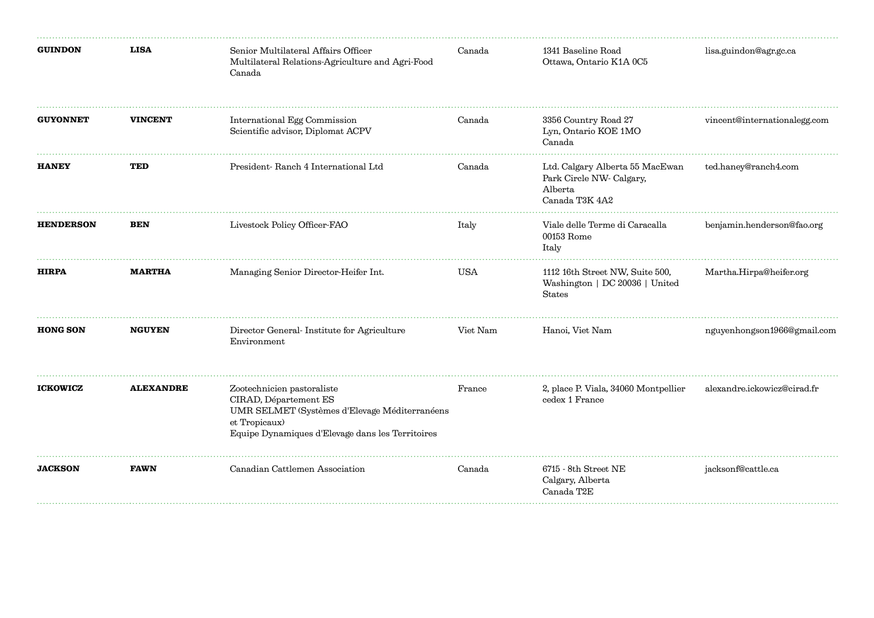| <b>GUINDON</b>   | <b>LISA</b>      | Senior Multilateral Affairs Officer<br>Multilateral Relations-Agriculture and Agri-Food<br>Canada                                                                         | Canada     | 1341 Baseline Road<br>Ottawa, Ontario K1A 0C5                                            | lisa.guindon@agr.gc.ca       |
|------------------|------------------|---------------------------------------------------------------------------------------------------------------------------------------------------------------------------|------------|------------------------------------------------------------------------------------------|------------------------------|
| <b>GUYONNET</b>  | <b>VINCENT</b>   | International Egg Commission<br>Scientific advisor, Diplomat ACPV                                                                                                         | Canada     | 3356 Country Road 27<br>Lyn, Ontario KOE 1MO<br>Canada                                   | vincent@internationalegg.com |
| <b>HANEY</b>     | TED              | President-Ranch 4 International Ltd                                                                                                                                       | Canada     | Ltd. Calgary Alberta 55 MacEwan<br>Park Circle NW- Calgary,<br>Alberta<br>Canada T3K 4A2 | ted.haney@ranch4.com         |
| <b>HENDERSON</b> | <b>BEN</b>       | Livestock Policy Officer-FAO                                                                                                                                              | Italy      | Viale delle Terme di Caracalla<br>00153 Rome<br>Italy                                    | benjamin.henderson@fao.org   |
| <b>HIRPA</b>     | <b>MARTHA</b>    | Managing Senior Director-Heifer Int.                                                                                                                                      | <b>USA</b> | 1112 16th Street NW, Suite 500,<br>Washington   DC 20036   United<br><b>States</b>       | Martha.Hirpa@heifer.org      |
| <b>HONG SON</b>  | <b>NGUYEN</b>    | Director General-Institute for Agriculture<br>Environment                                                                                                                 | Viet Nam   | Hanoi, Viet Nam                                                                          | nguyenhongson1966@gmail.com  |
| <b>ICKOWICZ</b>  | <b>ALEXANDRE</b> | Zootechnicien pastoraliste<br>CIRAD, Département ES<br>UMR SELMET (Systèmes d'Elevage Méditerranéens<br>et Tropicaux)<br>Equipe Dynamiques d'Elevage dans les Territoires | France     | 2, place P. Viala, 34060 Montpellier<br>cedex 1 France                                   | alexandre.ickowicz@cirad.fr  |
| <b>JACKSON</b>   | <b>FAWN</b>      | Canadian Cattlemen Association                                                                                                                                            | Canada     | $6715$ - 8th Street NE<br>Calgary, Alberta<br>Canada T2E                                 | jacksonf@cattle.ca           |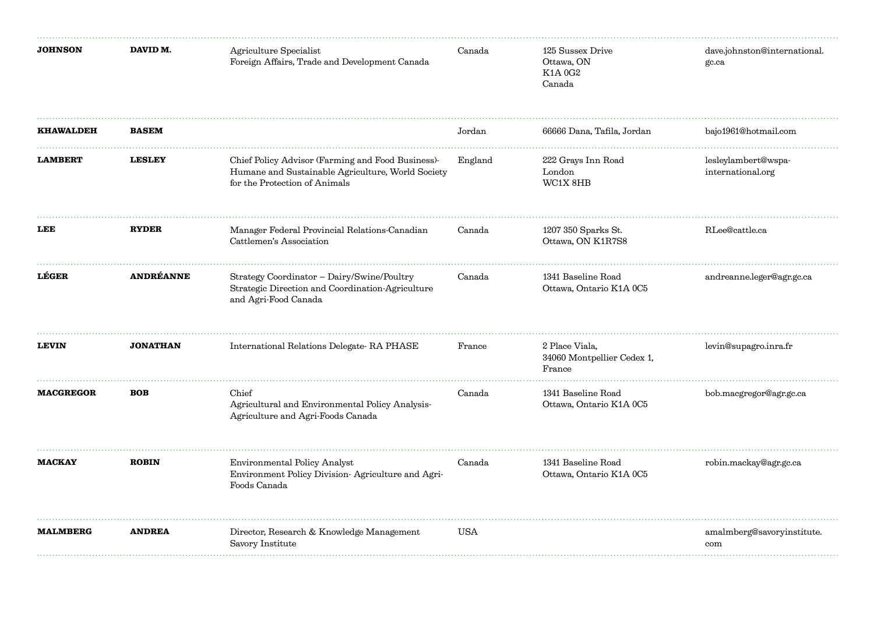| <b>JOHNSON</b>   | DAVID M.         | Agriculture Specialist<br>Foreign Affairs, Trade and Development Canada                                                                 | Canada     | 125 Sussex Drive<br>Ottawa, ON<br>K1A 0G2<br>Canada    | dave.johnston@international.<br>gc.ca    |
|------------------|------------------|-----------------------------------------------------------------------------------------------------------------------------------------|------------|--------------------------------------------------------|------------------------------------------|
| <b>KHAWALDEH</b> | <b>BASEM</b>     |                                                                                                                                         | Jordan     | 66666 Dana, Tafila, Jordan                             | bajo1961@hotmail.com                     |
| <b>LAMBERT</b>   | <b>LESLEY</b>    | Chief Policy Advisor (Farming and Food Business)-<br>Humane and Sustainable Agriculture, World Society<br>for the Protection of Animals | England    | 222 Grays Inn Road<br>London<br>WC1X 8HB               | lesleylambert@wspa-<br>international.org |
| LEE              | <b>RYDER</b>     | Manager Federal Provincial Relations-Canadian<br>Cattlemen's Association                                                                | Canada     | 1207 350 Sparks St.<br>Ottawa, ON K1R7S8               | RLee@cattle.ca                           |
| LÉGER            | <b>ANDRÉANNE</b> | Strategy Coordinator - Dairy/Swine/Poultry<br>Strategic Direction and Coordination-Agriculture<br>and Agri-Food Canada                  | Canada     | 1341 Baseline Road<br>Ottawa, Ontario K1A 0C5          | andreanne.leger@agr.gc.ca                |
| <b>LEVIN</b>     | <b>JONATHAN</b>  | International Relations Delegate- RA PHASE                                                                                              | France     | 2 Place Viala,<br>34060 Montpellier Cedex 1,<br>France | levin@supagro.inra.fr                    |
| <b>MACGREGOR</b> | <b>BOB</b>       | Chief<br>Agricultural and Environmental Policy Analysis-<br>Agriculture and Agri-Foods Canada                                           | Canada     | 1341 Baseline Road<br>Ottawa, Ontario K1A 0C5          | bob.macgregor@agr.gc.ca                  |
| <b>MACKAY</b>    | <b>ROBIN</b>     | Environmental Policy Analyst<br>Environment Policy Division-Agriculture and Agri-<br>Foods Canada                                       | Canada     | 1341 Baseline Road<br>Ottawa, Ontario K1A 0C5          | robin.mackay@agr.gc.ca                   |
| <b>MALMBERG</b>  | <b>ANDREA</b>    | Director, Research & Knowledge Management<br>Savory Institute                                                                           | <b>USA</b> |                                                        | amalmberg@savoryinstitute.<br>com        |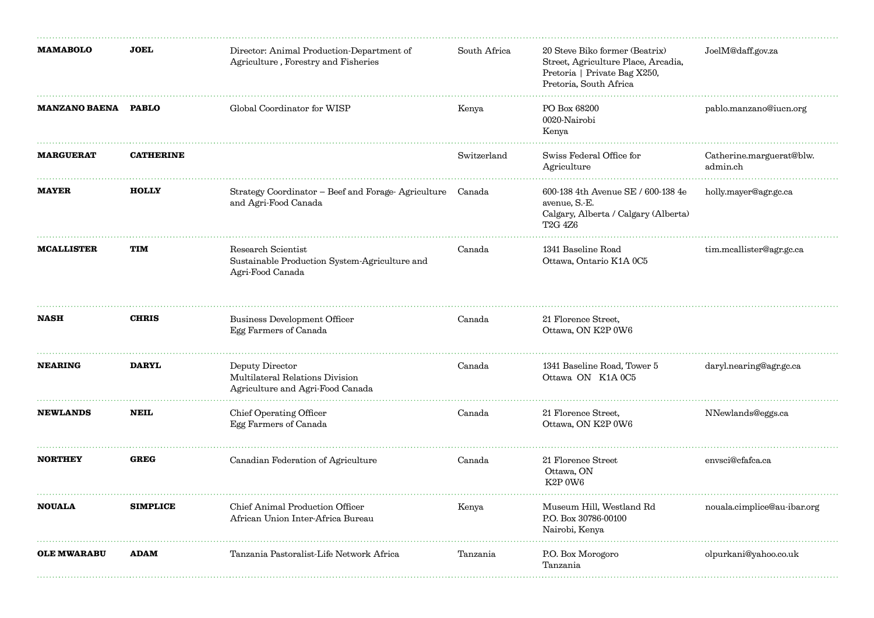| <b>MAMABOLO</b>      | <b>JOEL</b>      | Director: Animal Production-Department of<br>Agriculture, Forestry and Fisheries        | South Africa | 20 Steve Biko former (Beatrix)<br>Street, Agriculture Place, Arcadia,<br>Pretoria   Private Bag X250,<br>Pretoria, South Africa | JoelM@daff.gov.za                    |
|----------------------|------------------|-----------------------------------------------------------------------------------------|--------------|---------------------------------------------------------------------------------------------------------------------------------|--------------------------------------|
| <b>MANZANO BAENA</b> | <b>PABLO</b>     | Global Coordinator for WISP                                                             | Kenya        | PO Box 68200<br>0020-Nairobi<br>Kenya                                                                                           | pablo.manzano@iucn.org               |
| <b>MARGUERAT</b>     | <b>CATHERINE</b> |                                                                                         | Switzerland  | Swiss Federal Office for<br>Agriculture                                                                                         | Catherine.marguerat@blw.<br>admin.ch |
| <b>MAYER</b>         | <b>HOLLY</b>     | Strategy Coordinator – Beef and Forage-Agriculture<br>and Agri-Food Canada              | Canada       | 600-138 4th Avenue SE / 600-138 4e<br>avenue, S.-E.<br>Calgary, Alberta / Calgary (Alberta)<br>T <sub>2</sub> G 4 <sub>Z6</sub> | holly.mayer@agr.gc.ca                |
| <b>MCALLISTER</b>    | <b>TIM</b>       | Research Scientist<br>Sustainable Production System-Agriculture and<br>Agri-Food Canada | Canada       | 1341 Baseline Road<br>Ottawa, Ontario K1A 0C5                                                                                   | tim.mcallister@agr.gc.ca             |
| <b>NASH</b>          | <b>CHRIS</b>     | Business Development Officer<br>Egg Farmers of Canada                                   | Canada       | 21 Florence Street,<br>Ottawa, ON K2P 0W6                                                                                       |                                      |
| <b>NEARING</b>       | <b>DARYL</b>     | Deputy Director<br>Multilateral Relations Division<br>Agriculture and Agri-Food Canada  | Canada       | 1341 Baseline Road, Tower 5<br>Ottawa ON K1A 0C5                                                                                | daryl.nearing@agr.gc.ca              |
| <b>NEWLANDS</b>      | <b>NEIL</b>      | Chief Operating Officer<br>Egg Farmers of Canada                                        | Canada       | 21 Florence Street,<br>Ottawa, ON K2P 0W6                                                                                       | NNewlands@eggs.ca                    |
| <b>NORTHEY</b>       | <b>GREG</b>      | Canadian Federation of Agriculture                                                      | Canada       | 21 Florence Street<br>Ottawa, ON<br>K2P 0W6                                                                                     | envsci@cfafca.ca                     |
| <b>NOUALA</b>        | <b>SIMPLICE</b>  | Chief Animal Production Officer<br>African Union Inter-Africa Bureau                    | Kenya        | Museum Hill, Westland Rd<br>P.O. Box 30786-00100<br>Nairobi, Kenya                                                              | nouala.cimplice@au-ibar.org          |
| <b>OLE MWARABU</b>   | <b>ADAM</b>      | Tanzania Pastoralist-Life Network Africa                                                | Tanzania     | P.O. Box Morogoro<br>Tanzania                                                                                                   | olpurkani@yahoo.co.uk                |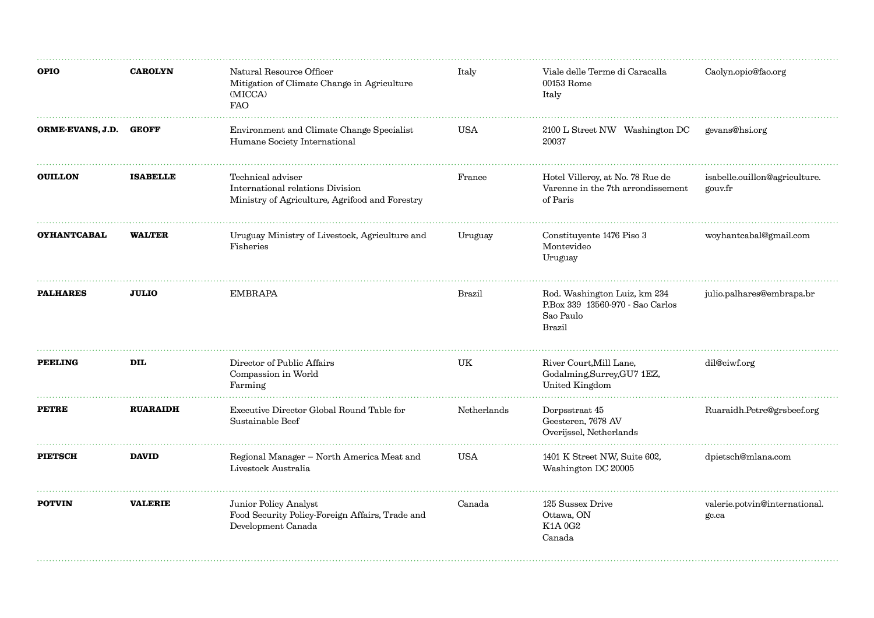| <b>OPIO</b>            | <b>CAROLYN</b>  | Natural Resource Officer<br>Mitigation of Climate Change in Agriculture<br>(MICCA)<br><b>FAO</b>        | Italy       | Viale delle Terme di Caracalla<br>00153 Rome<br>Italy                                         | Caolyn.opio@fao.org                      |
|------------------------|-----------------|---------------------------------------------------------------------------------------------------------|-------------|-----------------------------------------------------------------------------------------------|------------------------------------------|
| ORME-EVANS, J.D. GEOFF |                 | Environment and Climate Change Specialist<br>Humane Society International                               | USA         | 2100 L Street NW Washington DC<br>20037                                                       | gevans@hsi.org                           |
| <b>OUILLON</b>         | <b>ISABELLE</b> | Technical adviser<br>International relations Division<br>Ministry of Agriculture, Agrifood and Forestry | France      | Hotel Villeroy, at No. 78 Rue de<br>Varenne in the 7 <sup>th</sup> arrondissement<br>of Paris | isabelle.ouillon@agriculture.<br>gouv.fr |
| <b>OYHANTCABAL</b>     | <b>WALTER</b>   | Uruguay Ministry of Livestock, Agriculture and<br>Fisheries                                             | Uruguay     | Constituyente 1476 Piso 3<br>Montevideo<br>Uruguay                                            | woyhantcabal@gmail.com                   |
| <b>PALHARES</b>        | <b>JULIO</b>    | EMBRAPA                                                                                                 | Brazil      | Rod. Washington Luiz, km 234<br>P.Box 339 13560-970 - Sao Carlos<br>Sao Paulo<br>Brazil       | julio.palhares@embrapa.br                |
| <b>PEELING</b>         | <b>DIL</b>      | Director of Public Affairs<br>Compassion in World<br>Farming                                            | UK          | River Court, Mill Lane,<br>Godalming, Surrey, GU7 1EZ,<br>United Kingdom                      | dil@ciwf.org                             |
| <b>PETRE</b>           | <b>RUARAIDH</b> | Executive Director Global Round Table for<br>Sustainable Beef                                           | Netherlands | Dorpsstraat 45<br>Geesteren, 7678 AV<br>Overijssel, Netherlands                               | Ruaraidh.Petre@grsbeef.org               |
| <b>PIETSCH</b>         | <b>DAVID</b>    | Regional Manager - North America Meat and<br>Livestock Australia                                        | <b>USA</b>  | 1401 K Street NW, Suite 602,<br>Washington DC 20005                                           | dpietsch@mlana.com                       |
| <b>POTVIN</b>          | <b>VALERIE</b>  | Junior Policy Analyst<br>Food Security Policy-Foreign Affairs, Trade and<br>Development Canada          | Canada      | 125 Sussex Drive<br>Ottawa, ON<br>K1A 0G2<br>Canada                                           | valerie.potvin@international.<br>gc.ca   |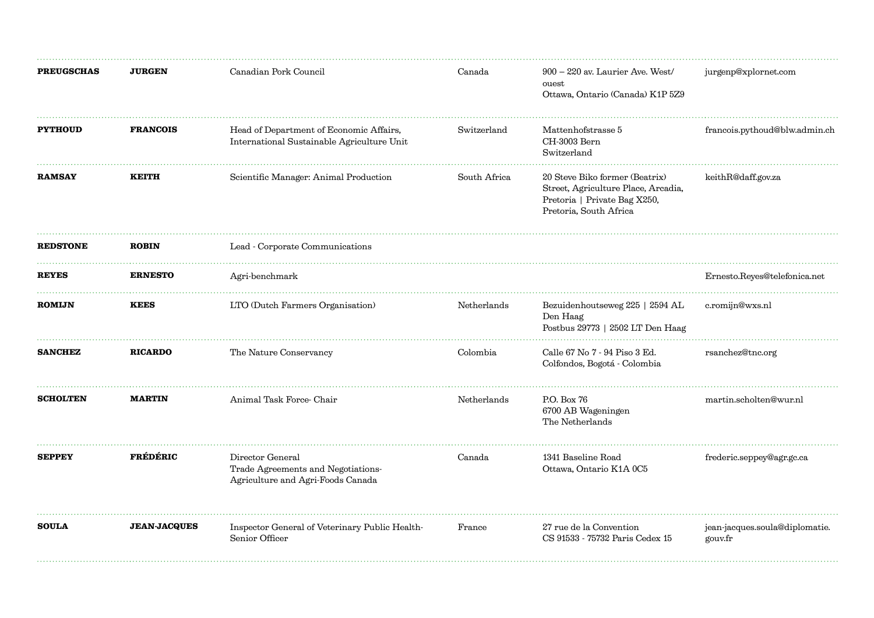| <b>PREUGSCHAS</b> | <b>JURGEN</b>       | Canadian Pork Council                                                                       | Canada       | $900 - 220$ av. Laurier Ave. West/<br>ouest<br>Ottawa, Ontario (Canada) K1P 5Z9                                                 | jurgenp@xplornet.com                      |
|-------------------|---------------------|---------------------------------------------------------------------------------------------|--------------|---------------------------------------------------------------------------------------------------------------------------------|-------------------------------------------|
| <b>PYTHOUD</b>    | <b>FRANCOIS</b>     | Head of Department of Economic Affairs,<br>International Sustainable Agriculture Unit       | Switzerland  | Mattenhofstrasse 5<br>CH-3003 Bern<br>Switzerland                                                                               | francois.pythoud@blw.admin.ch             |
| <b>RAMSAY</b>     | <b>KEITH</b>        | Scientific Manager: Animal Production                                                       | South Africa | 20 Steve Biko former (Beatrix)<br>Street, Agriculture Place, Arcadia,<br>Pretoria   Private Bag X250,<br>Pretoria, South Africa | keithR@daff.gov.za                        |
| <b>REDSTONE</b>   | <b>ROBIN</b>        | Lead - Corporate Communications                                                             |              |                                                                                                                                 |                                           |
| <b>REYES</b>      | <b>ERNESTO</b>      | Agri-benchmark                                                                              |              |                                                                                                                                 | Ernesto.Reyes@telefonica.net              |
| <b>ROMIJN</b>     | <b>KEES</b>         | LTO (Dutch Farmers Organisation)                                                            | Netherlands  | Bezuidenhoutseweg 225   2594 AL<br>Den Haag<br>Postbus 29773   2502 LT Den Haag                                                 | c.romijn@wxs.nl                           |
| <b>SANCHEZ</b>    | <b>RICARDO</b>      | The Nature Conservancy                                                                      | Colombia     | Calle 67 No 7 - 94 Piso 3 Ed.<br>Colfondos, Bogotá - Colombia                                                                   | rsanchez@tnc.org                          |
| <b>SCHOLTEN</b>   | <b>MARTIN</b>       | Animal Task Force-Chair                                                                     | Netherlands  | P.O. Box 76<br>6700 AB Wageningen<br>The Netherlands                                                                            | martin.scholten@wur.nl                    |
| <b>SEPPEY</b>     | <b>FRÉDÉRIC</b>     | Director General<br>Trade Agreements and Negotiations-<br>Agriculture and Agri-Foods Canada | Canada       | 1341 Baseline Road<br>Ottawa, Ontario K1A 0C5                                                                                   | frederic.seppey@agr.gc.ca                 |
| <b>SOULA</b>      | <b>JEAN-JACQUES</b> | Inspector General of Veterinary Public Health-<br>Senior Officer                            | France       | 27 rue de la Convention<br>CS 91533 - 75732 Paris Cedex 15                                                                      | jean-jacques.soula@diplomatie.<br>gouv.fr |
|                   |                     |                                                                                             |              |                                                                                                                                 |                                           |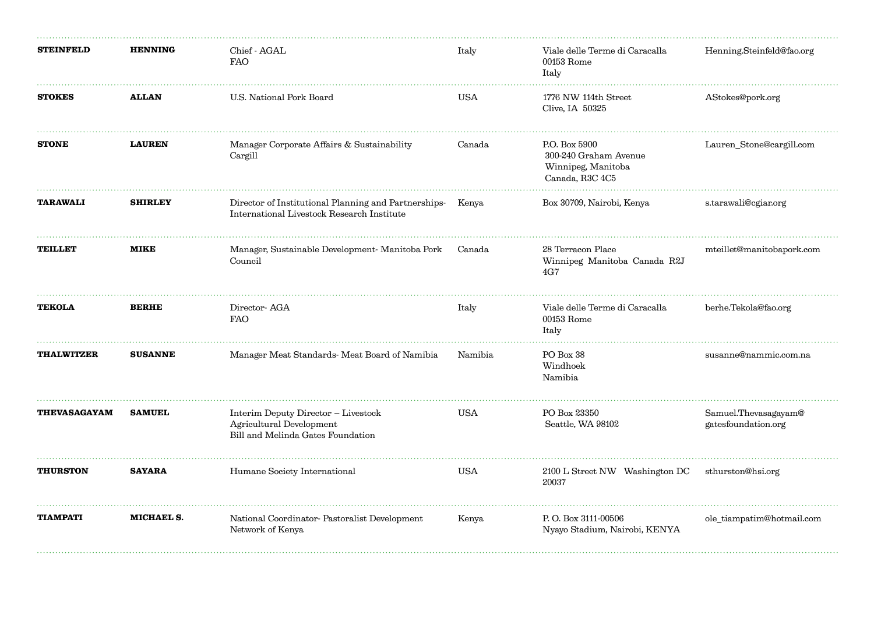| <b>STEINFELD</b>    | <b>HENNING</b> | Chief - AGAL<br><b>FAO</b>                                                                               | Italy      | Viale delle Terme di Caracalla<br>00153 Rome<br>Italy                           | Henning.Steinfeld@fao.org                   |
|---------------------|----------------|----------------------------------------------------------------------------------------------------------|------------|---------------------------------------------------------------------------------|---------------------------------------------|
| <b>STOKES</b>       | <b>ALLAN</b>   | U.S. National Pork Board                                                                                 | <b>USA</b> | 1776 NW 114th Street<br>Clive, IA 50325                                         | AStokes@pork.org                            |
| <b>STONE</b>        | <b>LAUREN</b>  | Manager Corporate Affairs & Sustainability<br>Cargill                                                    | Canada     | P.O. Box 5900<br>300-240 Graham Avenue<br>Winnipeg, Manitoba<br>Canada, R3C 4C5 | Lauren_Stone@cargill.com                    |
| <b>TARAWALI</b>     | <b>SHIRLEY</b> | Director of Institutional Planning and Partnerships- Kenya<br>International Livestock Research Institute |            | Box 30709, Nairobi, Kenya                                                       | s.tarawali@cgiar.org                        |
| <b>TEILLET</b>      | <b>MIKE</b>    | Manager, Sustainable Development- Manitoba Pork<br>Council                                               | Canada     | 28 Terracon Place<br>Winnipeg Manitoba Canada R2J<br>4G7                        | mteillet@manitobapork.com                   |
| <b>TEKOLA</b>       | <b>BERHE</b>   | Director-AGA<br><b>FAO</b>                                                                               | Italy      | Viale delle Terme di Caracalla<br>00153 Rome<br>Italy                           | berhe.Tekola@fao.org                        |
| <b>THALWITZER</b>   | <b>SUSANNE</b> | Manager Meat Standards- Meat Board of Namibia                                                            | Namibia    | PO Box 38<br>Windhoek<br>Namibia                                                | susanne@nammic.com.na                       |
| <b>THEVASAGAYAM</b> | <b>SAMUEL</b>  | Interim Deputy Director - Livestock<br>Agricultural Development<br>Bill and Melinda Gates Foundation     | <b>USA</b> | PO Box 23350<br>Seattle, WA 98102                                               | Samuel.Thevasagayam@<br>gatesfoundation.org |
| <b>THURSTON</b>     | <b>SAYARA</b>  | Humane Society International                                                                             | <b>USA</b> | 2100 L Street NW Washington DC<br>20037                                         | sthurston@hsi.org                           |
| <b>TIAMPATI</b>     | MICHAEL S.     | National Coordinator-Pastoralist Development<br>Network of Kenya                                         | Kenya      | P.O. Box 3111-00506<br>Nyayo Stadium, Nairobi, KENYA                            | ole_tiampatim@hotmail.com                   |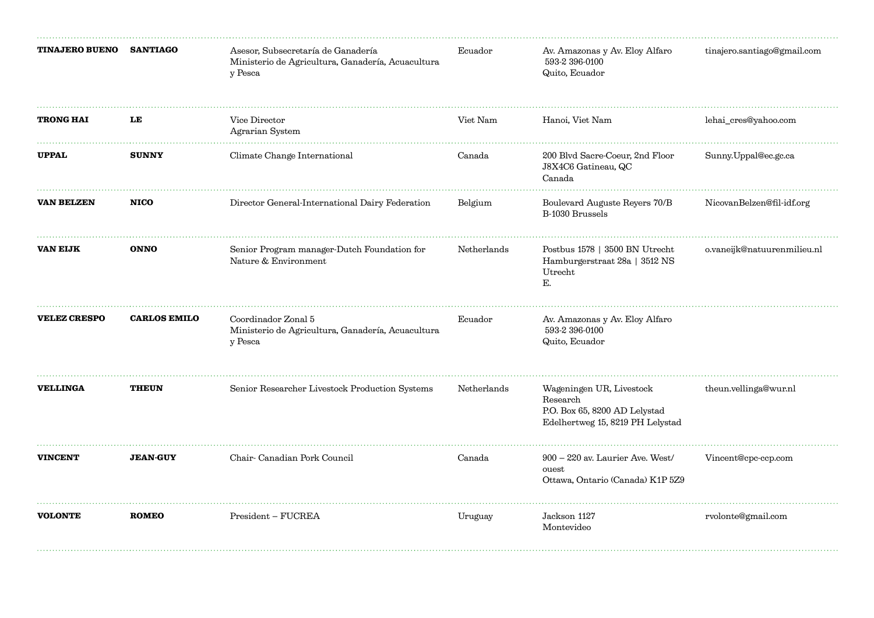| <b>TINAJERO BUENO</b> | <b>SANTIAGO</b>     | Asesor, Subsecretaría de Ganadería<br>Ministerio de Agricultura, Ganadería, Acuacultura<br>y Pesca | Ecuador     | Av. Amazonas y Av. Eloy Alfaro<br>593-2 396-0100<br>Quito, Ecuador                                        | tinajero.santiago@gmail.com |
|-----------------------|---------------------|----------------------------------------------------------------------------------------------------|-------------|-----------------------------------------------------------------------------------------------------------|-----------------------------|
| <b>TRONG HAI</b>      | LE                  | Vice Director<br>Agrarian System                                                                   | Viet Nam    | Hanoi, Viet Nam                                                                                           | lehai_cres@yahoo.com        |
| <b>UPPAL</b>          | <b>SUNNY</b>        | Climate Change International                                                                       | Canada      | 200 Blvd Sacre-Coeur, 2nd Floor<br>J8X4C6 Gatineau, QC<br>Canada                                          | Sunny.Uppal@ec.gc.ca        |
| <b>VAN BELZEN</b>     | <b>NICO</b>         | Director General-International Dairy Federation                                                    | Belgium     | Boulevard Auguste Reyers 70/B<br>B-1030 Brussels                                                          | NicovanBelzen@fil-idf.org   |
| <b>VAN EIJK</b>       | <b>ONNO</b>         | Senior Program manager-Dutch Foundation for<br>Nature & Environment                                | Netherlands | Postbus 1578   3500 BN Utrecht<br>Hamburgerstraat 28a   3512 NS<br>Utrecht<br>Е.                          | o.vaneijk@natuurenmilieu.nl |
| <b>VELEZ CRESPO</b>   | <b>CARLOS EMILO</b> | Coordinador Zonal 5<br>Ministerio de Agricultura, Ganadería, Acuacultura<br>y Pesca                | Ecuador     | Av. Amazonas y Av. Eloy Alfaro<br>593-2 396-0100<br>Quito, Ecuador                                        |                             |
| <b>VELLINGA</b>       | <b>THEUN</b>        | Senior Researcher Livestock Production Systems                                                     | Netherlands | Wageningen UR, Livestock<br>Research<br>P.O. Box 65, 8200 AD Lelystad<br>Edelhertweg 15, 8219 PH Lelystad | theun.vellinga@wur.nl       |
| <b>VINCENT</b>        | <b>JEAN-GUY</b>     | Chair-Canadian Pork Council                                                                        | Canada      | $900 - 220$ av. Laurier Ave. West/<br>ouest<br>Ottawa, Ontario (Canada) K1P 5Z9                           | Vincent@cpc-ccp.com         |
| <b>VOLONTE</b>        | <b>ROMEO</b>        | President - FUCREA                                                                                 | Uruguay     | Jackson $1127\,$<br>Montevideo                                                                            | rvolonte@gmail.com          |